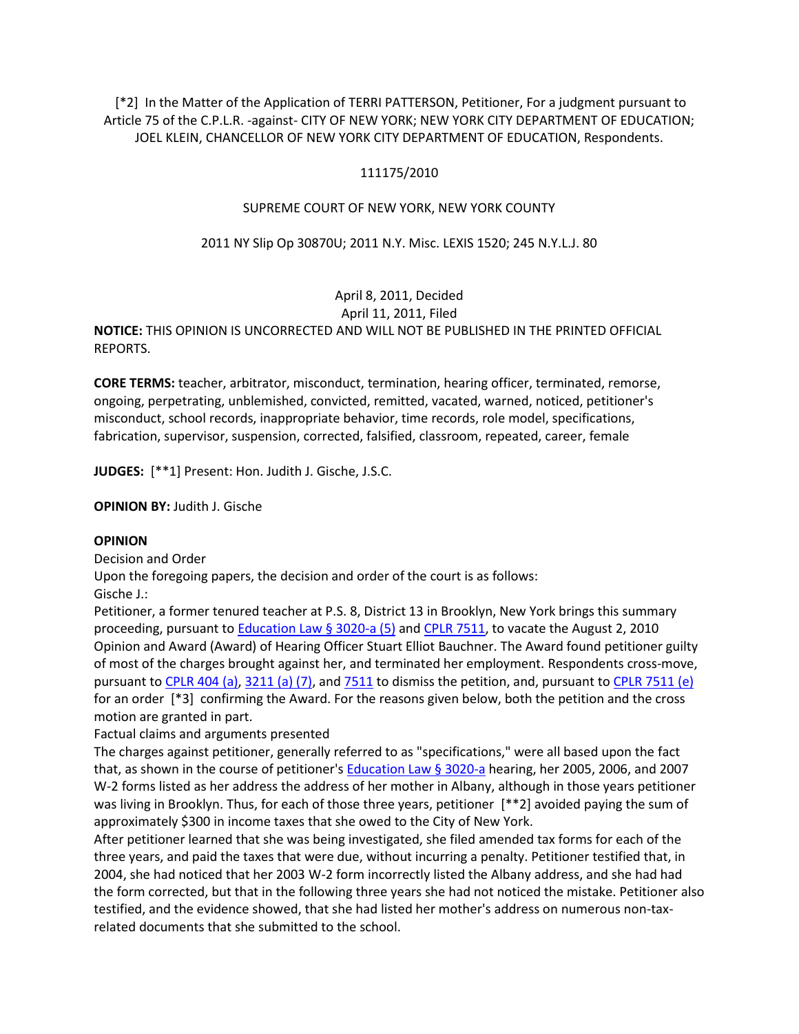[\*2] In the Matter of the Application of TERRI PATTERSON, Petitioner, For a judgment pursuant to Article 75 of the C.P.L.R. -against- CITY OF NEW YORK; NEW YORK CITY DEPARTMENT OF EDUCATION; JOEL KLEIN, CHANCELLOR OF NEW YORK CITY DEPARTMENT OF EDUCATION, Respondents.

## 111175/2010

### SUPREME COURT OF NEW YORK, NEW YORK COUNTY

### 2011 NY Slip Op 30870U; 2011 N.Y. Misc. LEXIS 1520; 245 N.Y.L.J. 80

# April 8, 2011, Decided

### April 11, 2011, Filed

**NOTICE:** THIS OPINION IS UNCORRECTED AND WILL NOT BE PUBLISHED IN THE PRINTED OFFICIAL REPORTS.

**CORE TERMS:** teacher, arbitrator, misconduct, termination, hearing officer, terminated, remorse, ongoing, perpetrating, unblemished, convicted, remitted, vacated, warned, noticed, petitioner's misconduct, school records, inappropriate behavior, time records, role model, specifications, fabrication, supervisor, suspension, corrected, falsified, classroom, repeated, career, female

**JUDGES:** [\*\*1] Present: Hon. Judith J. Gische, J.S.C.

**OPINION BY:** Judith J. Gische

### **OPINION**

Decision and Order

Upon the foregoing papers, the decision and order of the court is as follows:

Gische J.:

Petitioner, a former tenured teacher at P.S. 8, District 13 in Brooklyn, New York brings this summary proceeding, pursuant to [Education Law § 3020-a \(5\)](http://www.lexisnexis.com.ezproxy.strose.edu/lnacui2api/mungo/lexseestat.do?bct=A&risb=21_T12065449606&homeCsi=9095&A=0.772284952388352&urlEnc=ISO-8859-1&&citeString=N.Y.%20EDUC.%20LAW%203020-A&countryCode=USA) and [CPLR 7511,](http://www.lexisnexis.com.ezproxy.strose.edu/lnacui2api/mungo/lexseestat.do?bct=A&risb=21_T12065449606&homeCsi=9095&A=0.772284952388352&urlEnc=ISO-8859-1&&citeString=N.Y.%20C.P.L.R.%207511&countryCode=USA) to vacate the August 2, 2010 Opinion and Award (Award) of Hearing Officer Stuart Elliot Bauchner. The Award found petitioner guilty of most of the charges brought against her, and terminated her employment. Respondents cross-move, pursuant t[o CPLR 404 \(a\),](http://www.lexisnexis.com.ezproxy.strose.edu/lnacui2api/mungo/lexseestat.do?bct=A&risb=21_T12065449606&homeCsi=9095&A=0.772284952388352&urlEnc=ISO-8859-1&&citeString=N.Y.%20C.P.L.R.%20404&countryCode=USA) [3211 \(a\) \(7\),](http://www.lexisnexis.com.ezproxy.strose.edu/lnacui2api/mungo/lexseestat.do?bct=A&risb=21_T12065449606&homeCsi=9095&A=0.772284952388352&urlEnc=ISO-8859-1&&citeString=N.Y.%20C.P.L.R.%203211&countryCode=USA) an[d 7511](http://www.lexisnexis.com.ezproxy.strose.edu/lnacui2api/mungo/lexseestat.do?bct=A&risb=21_T12065449606&homeCsi=9095&A=0.772284952388352&urlEnc=ISO-8859-1&&citeString=N.Y.%20C.P.L.R.%207511&countryCode=USA) to dismiss the petition, and, pursuant to [CPLR 7511 \(e\)](http://www.lexisnexis.com.ezproxy.strose.edu/lnacui2api/mungo/lexseestat.do?bct=A&risb=21_T12065449606&homeCsi=9095&A=0.772284952388352&urlEnc=ISO-8859-1&&citeString=N.Y.%20C.P.L.R.%207511&countryCode=USA) for an order [\*3] confirming the Award. For the reasons given below, both the petition and the cross motion are granted in part.

Factual claims and arguments presented

The charges against petitioner, generally referred to as "specifications," were all based upon the fact that, as shown in the course of petitioner'[s Education Law § 3020-a](http://www.lexisnexis.com.ezproxy.strose.edu/lnacui2api/mungo/lexseestat.do?bct=A&risb=21_T12065449606&homeCsi=9095&A=0.772284952388352&urlEnc=ISO-8859-1&&citeString=N.Y.%20EDUC.%20LAW%203020-A&countryCode=USA) hearing, her 2005, 2006, and 2007 W-2 forms listed as her address the address of her mother in Albany, although in those years petitioner was living in Brooklyn. Thus, for each of those three years, petitioner [\*\*2] avoided paying the sum of approximately \$300 in income taxes that she owed to the City of New York.

After petitioner learned that she was being investigated, she filed amended tax forms for each of the three years, and paid the taxes that were due, without incurring a penalty. Petitioner testified that, in 2004, she had noticed that her 2003 W-2 form incorrectly listed the Albany address, and she had had the form corrected, but that in the following three years she had not noticed the mistake. Petitioner also testified, and the evidence showed, that she had listed her mother's address on numerous non-taxrelated documents that she submitted to the school.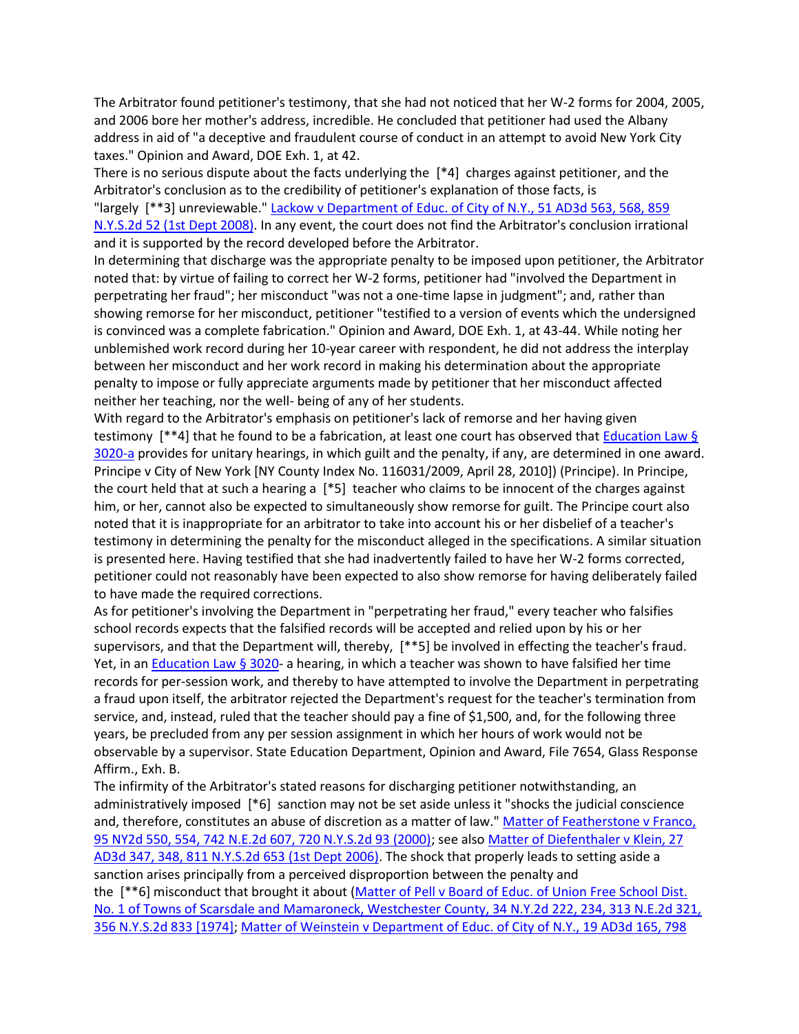The Arbitrator found petitioner's testimony, that she had not noticed that her W-2 forms for 2004, 2005, and 2006 bore her mother's address, incredible. He concluded that petitioner had used the Albany address in aid of "a deceptive and fraudulent course of conduct in an attempt to avoid New York City taxes." Opinion and Award, DOE Exh. 1, at 42.

There is no serious dispute about the facts underlying the [\*4] charges against petitioner, and the Arbitrator's conclusion as to the credibility of petitioner's explanation of those facts, is

"largely [\*\*3] unreviewable." Lackow v Department of Educ. of City of N.Y., 51 AD3d 563, 568, 859 [N.Y.S.2d 52 \(1st Dept 2008\).](http://www.lexisnexis.com.ezproxy.strose.edu/lnacui2api/mungo/lexseestat.do?bct=A&risb=21_T12065449606&homeCsi=9095&A=0.772284952388352&urlEnc=ISO-8859-1&&citeString=51%20A.D.3d%20563,%20568&countryCode=USA) In any event, the court does not find the Arbitrator's conclusion irrational and it is supported by the record developed before the Arbitrator.

In determining that discharge was the appropriate penalty to be imposed upon petitioner, the Arbitrator noted that: by virtue of failing to correct her W-2 forms, petitioner had "involved the Department in perpetrating her fraud"; her misconduct "was not a one-time lapse in judgment"; and, rather than showing remorse for her misconduct, petitioner "testified to a version of events which the undersigned is convinced was a complete fabrication." Opinion and Award, DOE Exh. 1, at 43-44. While noting her unblemished work record during her 10-year career with respondent, he did not address the interplay between her misconduct and her work record in making his determination about the appropriate penalty to impose or fully appreciate arguments made by petitioner that her misconduct affected neither her teaching, nor the well- being of any of her students.

With regard to the Arbitrator's emphasis on petitioner's lack of remorse and her having given testimony [\*\*4] that he found to be a fabrication, at least one court has observed that **Education Law §** [3020-a](http://www.lexisnexis.com.ezproxy.strose.edu/lnacui2api/mungo/lexseestat.do?bct=A&risb=21_T12065449606&homeCsi=9095&A=0.772284952388352&urlEnc=ISO-8859-1&&citeString=N.Y.%20EDUC.%20LAW%203020-A&countryCode=USA) provides for unitary hearings, in which guilt and the penalty, if any, are determined in one award. Principe v City of New York [NY County Index No. 116031/2009, April 28, 2010]) (Principe). In Principe, the court held that at such a hearing a [\*5] teacher who claims to be innocent of the charges against him, or her, cannot also be expected to simultaneously show remorse for guilt. The Principe court also noted that it is inappropriate for an arbitrator to take into account his or her disbelief of a teacher's testimony in determining the penalty for the misconduct alleged in the specifications. A similar situation is presented here. Having testified that she had inadvertently failed to have her W-2 forms corrected, petitioner could not reasonably have been expected to also show remorse for having deliberately failed to have made the required corrections.

As for petitioner's involving the Department in "perpetrating her fraud," every teacher who falsifies school records expects that the falsified records will be accepted and relied upon by his or her supervisors, and that the Department will, thereby, [\*\*5] be involved in effecting the teacher's fraud. Yet, in an [Education Law § 3020-](http://www.lexisnexis.com.ezproxy.strose.edu/lnacui2api/mungo/lexseestat.do?bct=A&risb=21_T12065449606&homeCsi=9095&A=0.772284952388352&urlEnc=ISO-8859-1&&citeString=N.Y.%20EDUC.%20LAW%203020&countryCode=USA) a hearing, in which a teacher was shown to have falsified her time records for per-session work, and thereby to have attempted to involve the Department in perpetrating a fraud upon itself, the arbitrator rejected the Department's request for the teacher's termination from service, and, instead, ruled that the teacher should pay a fine of \$1,500, and, for the following three years, be precluded from any per session assignment in which her hours of work would not be observable by a supervisor. State Education Department, Opinion and Award, File 7654, Glass Response Affirm., Exh. B.

The infirmity of the Arbitrator's stated reasons for discharging petitioner notwithstanding, an administratively imposed [\*6] sanction may not be set aside unless it "shocks the judicial conscience and, therefore, constitutes an abuse of discretion as a matter of law." Matter of Featherstone v Franco, [95 NY2d 550, 554, 742 N.E.2d 607, 720 N.Y.S.2d 93 \(2000\);](http://www.lexisnexis.com.ezproxy.strose.edu/lnacui2api/mungo/lexseestat.do?bct=A&risb=21_T12065449606&homeCsi=9095&A=0.772284952388352&urlEnc=ISO-8859-1&&citeString=95%20N.Y.2d%20550,%20554&countryCode=USA) see also [Matter of Diefenthaler v Klein, 27](http://www.lexisnexis.com.ezproxy.strose.edu/lnacui2api/mungo/lexseestat.do?bct=A&risb=21_T12065449606&homeCsi=9095&A=0.772284952388352&urlEnc=ISO-8859-1&&citeString=27%20A.D.3d%20347,%20348&countryCode=USA)  [AD3d 347, 348, 811 N.Y.S.2d 653 \(1st Dept 2006\).](http://www.lexisnexis.com.ezproxy.strose.edu/lnacui2api/mungo/lexseestat.do?bct=A&risb=21_T12065449606&homeCsi=9095&A=0.772284952388352&urlEnc=ISO-8859-1&&citeString=27%20A.D.3d%20347,%20348&countryCode=USA) The shock that properly leads to setting aside a sanction arises principally from a perceived disproportion between the penalty and

the [\*\*6] misconduct that brought it about [\(Matter of Pell v Board of Educ. of Union Free School Dist.](http://www.lexisnexis.com.ezproxy.strose.edu/lnacui2api/mungo/lexseestat.do?bct=A&risb=21_T12065449606&homeCsi=9095&A=0.772284952388352&urlEnc=ISO-8859-1&&citeString=34%20N.Y.2d%20222,%20234&countryCode=USA)  [No. 1 of Towns of Scarsdale and Mamaroneck, Westchester County, 34 N.Y.2d 222, 234, 313 N.E.2d 321,](http://www.lexisnexis.com.ezproxy.strose.edu/lnacui2api/mungo/lexseestat.do?bct=A&risb=21_T12065449606&homeCsi=9095&A=0.772284952388352&urlEnc=ISO-8859-1&&citeString=34%20N.Y.2d%20222,%20234&countryCode=USA)  [356 N.Y.S.2d 833 \[1974\];](http://www.lexisnexis.com.ezproxy.strose.edu/lnacui2api/mungo/lexseestat.do?bct=A&risb=21_T12065449606&homeCsi=9095&A=0.772284952388352&urlEnc=ISO-8859-1&&citeString=34%20N.Y.2d%20222,%20234&countryCode=USA) [Matter of Weinstein v Department of Educ. of City of N.Y., 19 AD3d 165, 798](http://www.lexisnexis.com.ezproxy.strose.edu/lnacui2api/mungo/lexseestat.do?bct=A&risb=21_T12065449606&homeCsi=9095&A=0.772284952388352&urlEnc=ISO-8859-1&&citeString=19%20A.D.3d%20165&countryCode=USA)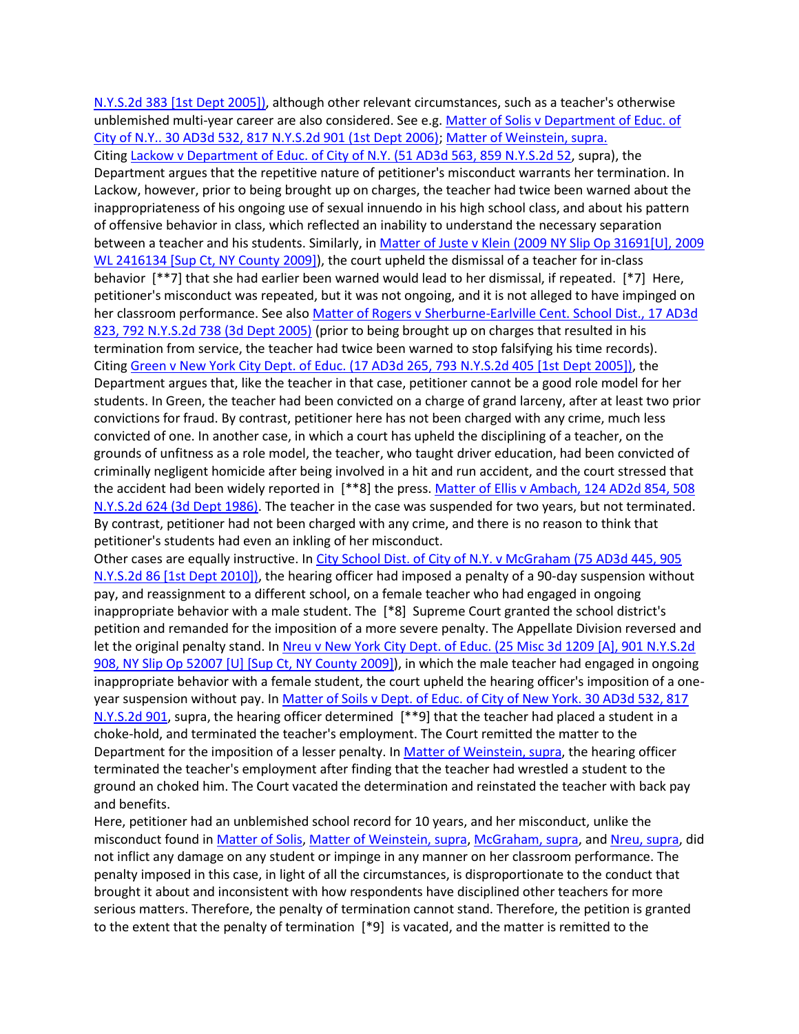[N.Y.S.2d 383 \[1st Dept 2005\]\),](http://www.lexisnexis.com.ezproxy.strose.edu/lnacui2api/mungo/lexseestat.do?bct=A&risb=21_T12065449606&homeCsi=9095&A=0.772284952388352&urlEnc=ISO-8859-1&&citeString=19%20A.D.3d%20165&countryCode=USA) although other relevant circumstances, such as a teacher's otherwise unblemished multi-year career are also considered. See e.g. Matter of Solis v Department of Educ. of [City of N.Y.. 30 AD3d 532, 817 N.Y.S.2d 901 \(1st Dept 2006\);](http://www.lexisnexis.com.ezproxy.strose.edu/lnacui2api/mungo/lexseestat.do?bct=A&risb=21_T12065449606&homeCsi=9095&A=0.772284952388352&urlEnc=ISO-8859-1&&citeString=30%20A.D.3d%20532&countryCode=USA) [Matter of Weinstein, supra.](http://www.lexisnexis.com.ezproxy.strose.edu/lnacui2api/mungo/lexseestat.do?bct=A&risb=21_T12065449606&homeCsi=9095&A=0.772284952388352&urlEnc=ISO-8859-1&&citeString=19%20A.D.3d%20165&countryCode=USA) Citing [Lackow v Department of Educ. of City of N.Y. \(51 AD3d 563, 859 N.Y.S.2d 52,](http://www.lexisnexis.com.ezproxy.strose.edu/lnacui2api/mungo/lexseestat.do?bct=A&risb=21_T12065449606&homeCsi=9095&A=0.772284952388352&urlEnc=ISO-8859-1&&citeString=51%20A.D.3d%20563&countryCode=USA) supra), the Department argues that the repetitive nature of petitioner's misconduct warrants her termination. In Lackow, however, prior to being brought up on charges, the teacher had twice been warned about the inappropriateness of his ongoing use of sexual innuendo in his high school class, and about his pattern of offensive behavior in class, which reflected an inability to understand the necessary separation between a teacher and his students. Similarly, in Matter of Juste v Klein (2009 NY Slip Op 31691[U], 2009 [WL 2416134 \[Sup Ct, NY County 2009\]\)](http://www.lexisnexis.com.ezproxy.strose.edu/lnacui2api/mungo/lexseestat.do?bct=A&risb=21_T12065449606&homeCsi=9095&A=0.772284952388352&urlEnc=ISO-8859-1&&citeString=2009%20N.Y.%20Misc.%20LEXIS%205330&countryCode=USA), the court upheld the dismissal of a teacher for in-class behavior [\*\*7] that she had earlier been warned would lead to her dismissal, if repeated. [\*7] Here, petitioner's misconduct was repeated, but it was not ongoing, and it is not alleged to have impinged on her classroom performance. See als[o Matter of Rogers v Sherburne-Earlville Cent.](http://www.lexisnexis.com.ezproxy.strose.edu/lnacui2api/mungo/lexseestat.do?bct=A&risb=21_T12065449606&homeCsi=9095&A=0.772284952388352&urlEnc=ISO-8859-1&&citeString=17%20A.D.3d%20823&countryCode=USA) School Dist., 17 AD3d [823, 792 N.Y.S.2d 738 \(3d Dept 2005\)](http://www.lexisnexis.com.ezproxy.strose.edu/lnacui2api/mungo/lexseestat.do?bct=A&risb=21_T12065449606&homeCsi=9095&A=0.772284952388352&urlEnc=ISO-8859-1&&citeString=17%20A.D.3d%20823&countryCode=USA) (prior to being brought up on charges that resulted in his termination from service, the teacher had twice been warned to stop falsifying his time records). Citing [Green v New York City Dept. of Educ. \(17 AD3d 265, 793 N.Y.S.2d 405 \[1st](http://www.lexisnexis.com.ezproxy.strose.edu/lnacui2api/mungo/lexseestat.do?bct=A&risb=21_T12065449606&homeCsi=9095&A=0.772284952388352&urlEnc=ISO-8859-1&&citeString=17%20A.D.3d%20265&countryCode=USA) Dept 2005]), the Department argues that, like the teacher in that case, petitioner cannot be a good role model for her students. In Green, the teacher had been convicted on a charge of grand larceny, after at least two prior convictions for fraud. By contrast, petitioner here has not been charged with any crime, much less convicted of one. In another case, in which a court has upheld the disciplining of a teacher, on the grounds of unfitness as a role model, the teacher, who taught driver education, had been convicted of criminally negligent homicide after being involved in a hit and run accident, and the court stressed that the accident had been widely reported in [\*\*8] the press. Matter of Ellis v Ambach, 124 AD2d 854, 508 [N.Y.S.2d 624 \(3d Dept 1986\).](http://www.lexisnexis.com.ezproxy.strose.edu/lnacui2api/mungo/lexseestat.do?bct=A&risb=21_T12065449606&homeCsi=9095&A=0.772284952388352&urlEnc=ISO-8859-1&&citeString=124%20A.D.2d%20854&countryCode=USA) The teacher in the case was suspended for two years, but not terminated. By contrast, petitioner had not been charged with any crime, and there is no reason to think that petitioner's students had even an inkling of her misconduct.

Other cases are equally instructive. I[n City School Dist. of City of N.Y. v McGraham \(75 AD3d 445, 905](http://www.lexisnexis.com.ezproxy.strose.edu/lnacui2api/mungo/lexseestat.do?bct=A&risb=21_T12065449606&homeCsi=9095&A=0.772284952388352&urlEnc=ISO-8859-1&&citeString=75%20A.D.3d%20445&countryCode=USA)  N.Y.S.2d 86 [1st Dept 2010]], the hearing officer had imposed a penalty of a 90-day suspension without pay, and reassignment to a different school, on a female teacher who had engaged in ongoing inappropriate behavior with a male student. The [\*8] Supreme Court granted the school district's petition and remanded for the imposition of a more severe penalty. The Appellate Division reversed and let the original penalty stand. In Nreu v New York City Dept. of Educ. (25 Misc 3d 1209 [A], 901 N.Y.S.2d [908, NY Slip Op 52007 \[U\] \[Sup Ct, NY County 2009\]\)](http://www.lexisnexis.com.ezproxy.strose.edu/lnacui2api/mungo/lexseestat.do?bct=A&risb=21_T12065449606&homeCsi=9095&A=0.772284952388352&urlEnc=ISO-8859-1&&citeString=25%20Misc.%203d%201209A&countryCode=USA), in which the male teacher had engaged in ongoing inappropriate behavior with a female student, the court upheld the hearing officer's imposition of a oneyear suspension without pay. In [Matter of Soils v Dept. of Educ. of City of New York. 30 AD3d 532, 817](http://www.lexisnexis.com.ezproxy.strose.edu/lnacui2api/mungo/lexseestat.do?bct=A&risb=21_T12065449606&homeCsi=9095&A=0.772284952388352&urlEnc=ISO-8859-1&&citeString=30%20A.D.3d%20532&countryCode=USA)  [N.Y.S.2d 901,](http://www.lexisnexis.com.ezproxy.strose.edu/lnacui2api/mungo/lexseestat.do?bct=A&risb=21_T12065449606&homeCsi=9095&A=0.772284952388352&urlEnc=ISO-8859-1&&citeString=30%20A.D.3d%20532&countryCode=USA) supra, the hearing officer determined [\*\*9] that the teacher had placed a student in a choke-hold, and terminated the teacher's employment. The Court remitted the matter to the Department for the imposition of a lesser penalty. I[n Matter of Weinstein, supra,](http://www.lexisnexis.com.ezproxy.strose.edu/lnacui2api/mungo/lexseestat.do?bct=A&risb=21_T12065449606&homeCsi=9095&A=0.772284952388352&urlEnc=ISO-8859-1&&citeString=19%20A.D.3d%20165&countryCode=USA) the hearing officer terminated the teacher's employment after finding that the teacher had wrestled a student to the ground an choked him. The Court vacated the determination and reinstated the teacher with back pay and benefits.

Here, petitioner had an unblemished school record for 10 years, and her misconduct, unlike the misconduct found in [Matter of Solis,](http://www.lexisnexis.com.ezproxy.strose.edu/lnacui2api/mungo/lexseestat.do?bct=A&risb=21_T12065449606&homeCsi=9095&A=0.772284952388352&urlEnc=ISO-8859-1&&citeString=30%20A.D.3d%20532&countryCode=USA) [Matter of Weinstein, supra,](http://www.lexisnexis.com.ezproxy.strose.edu/lnacui2api/mungo/lexseestat.do?bct=A&risb=21_T12065449606&homeCsi=9095&A=0.772284952388352&urlEnc=ISO-8859-1&&citeString=19%20A.D.3d%20165&countryCode=USA) [McGraham, supra,](http://www.lexisnexis.com.ezproxy.strose.edu/lnacui2api/mungo/lexseestat.do?bct=A&risb=21_T12065449606&homeCsi=9095&A=0.772284952388352&urlEnc=ISO-8859-1&&citeString=75%20A.D.3d%20445&countryCode=USA) and [Nreu, supra,](http://www.lexisnexis.com.ezproxy.strose.edu/lnacui2api/mungo/lexseestat.do?bct=A&risb=21_T12065449606&homeCsi=9095&A=0.772284952388352&urlEnc=ISO-8859-1&&citeString=25%20Misc.%203d%201209A&countryCode=USA) did not inflict any damage on any student or impinge in any manner on her classroom performance. The penalty imposed in this case, in light of all the circumstances, is disproportionate to the conduct that brought it about and inconsistent with how respondents have disciplined other teachers for more serious matters. Therefore, the penalty of termination cannot stand. Therefore, the petition is granted to the extent that the penalty of termination [\*9] is vacated, and the matter is remitted to the